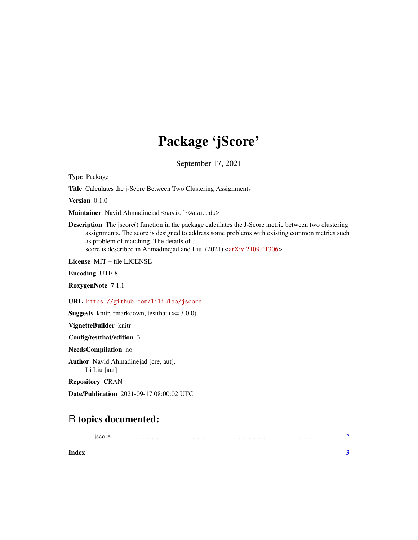## Package 'jScore'

September 17, 2021

Type Package

Title Calculates the j-Score Between Two Clustering Assignments

Version 0.1.0

Maintainer Navid Ahmadinejad <navidfr@asu.edu>

Description The jscore() function in the package calculates the J-Score metric between two clustering assignments. The score is designed to address some problems with existing common metrics such as problem of matching. The details of J-score is described in Ahmadinejad and Liu. (2021) [<arXiv:2109.01306>](https://arxiv.org/abs/2109.01306).

License MIT + file LICENSE

Encoding UTF-8

RoxygenNote 7.1.1

URL <https://github.com/liliulab/jscore>

**Suggests** knitr, rmarkdown, test that  $(>= 3.0.0)$ 

VignetteBuilder knitr

Config/testthat/edition 3

NeedsCompilation no

Author Navid Ahmadinejad [cre, aut], Li Liu [aut]

Repository CRAN

Date/Publication 2021-09-17 08:00:02 UTC

### R topics documented:

|--|--|--|--|--|--|--|--|--|--|--|--|--|--|--|--|--|--|--|--|--|--|--|--|--|--|--|--|--|--|--|--|

**Index** [3](#page-2-0)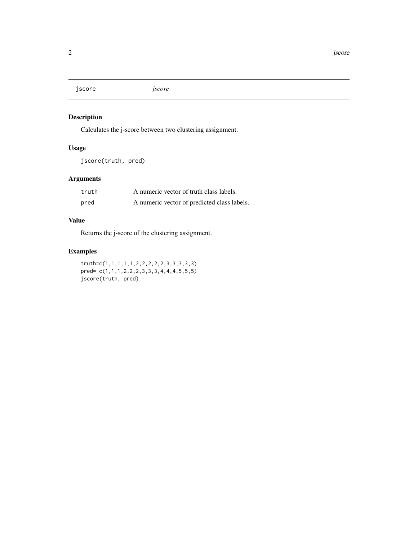<span id="page-1-0"></span>jscore *jscore*

#### Description

Calculates the j-score between two clustering assignment.

#### Usage

jscore(truth, pred)

#### Arguments

| truth | A numeric vector of truth class labels.     |
|-------|---------------------------------------------|
| pred  | A numeric vector of predicted class labels. |

#### Value

Returns the j-score of the clustering assignment.

#### Examples

truth=c(1,1,1,1,1,2,2,2,2,2,3,3,3,3,3) pred= c(1,1,1,2,2,2,3,3,3,4,4,4,5,5,5) jscore(truth, pred)